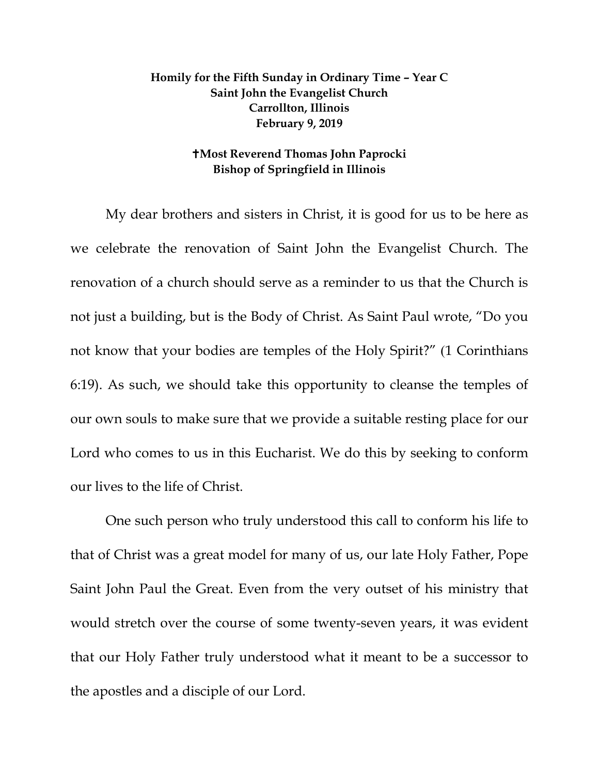## **Homily for the Fifth Sunday in Ordinary Time – Year C Saint John the Evangelist Church Carrollton, Illinois February 9, 2019**

## **Most Reverend Thomas John Paprocki Bishop of Springfield in Illinois**

My dear brothers and sisters in Christ, it is good for us to be here as we celebrate the renovation of Saint John the Evangelist Church. The renovation of a church should serve as a reminder to us that the Church is not just a building, but is the Body of Christ. As Saint Paul wrote, "Do you not know that your bodies are temples of the Holy Spirit?" (1 Corinthians 6:19). As such, we should take this opportunity to cleanse the temples of our own souls to make sure that we provide a suitable resting place for our Lord who comes to us in this Eucharist. We do this by seeking to conform our lives to the life of Christ.

One such person who truly understood this call to conform his life to that of Christ was a great model for many of us, our late Holy Father, Pope Saint John Paul the Great. Even from the very outset of his ministry that would stretch over the course of some twenty-seven years, it was evident that our Holy Father truly understood what it meant to be a successor to the apostles and a disciple of our Lord.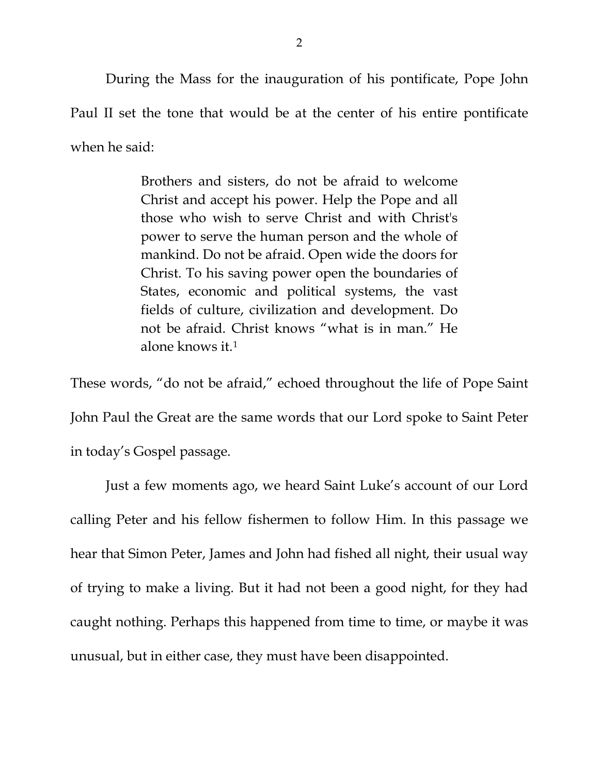During the Mass for the inauguration of his pontificate, Pope John Paul II set the tone that would be at the center of his entire pontificate when he said:

> Brothers and sisters, do not be afraid to welcome Christ and accept his power. Help the Pope and all those who wish to serve Christ and with Christ's power to serve the human person and the whole of mankind. Do not be afraid. Open wide the doors for Christ. To his saving power open the boundaries of States, economic and political systems, the vast fields of culture, civilization and development. Do not be afraid. Christ knows "what is in man." He alone knows it.[1](#page-2-0)

These words, "do not be afraid," echoed throughout the life of Pope Saint John Paul the Great are the same words that our Lord spoke to Saint Peter in today's Gospel passage.

Just a few moments ago, we heard Saint Luke's account of our Lord calling Peter and his fellow fishermen to follow Him. In this passage we hear that Simon Peter, James and John had fished all night, their usual way of trying to make a living. But it had not been a good night, for they had caught nothing. Perhaps this happened from time to time, or maybe it was unusual, but in either case, they must have been disappointed.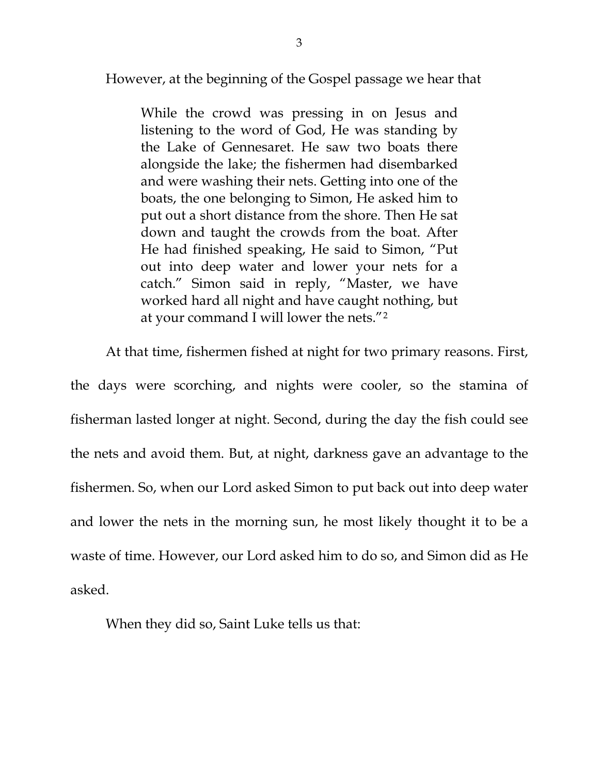However, at the beginning of the Gospel passage we hear that

While the crowd was pressing in on Jesus and listening to the word of God, He was standing by the Lake of Gennesaret. He saw two boats there alongside the lake; the fishermen had disembarked and were washing their nets. Getting into one of the boats, the one belonging to Simon, He asked him to put out a short distance from the shore. Then He sat down and taught the crowds from the boat. After He had finished speaking, He said to Simon, "Put out into deep water and lower your nets for a catch." Simon said in reply, "Master, we have worked hard all night and have caught nothing, but at your command I will lower the nets."[2](#page-2-1)

<span id="page-2-0"></span>At that time, fishermen fished at night for two primary reasons. First,

<span id="page-2-3"></span><span id="page-2-2"></span><span id="page-2-1"></span>the days were scorching, and nights were cooler, so the stamina of fisherman lasted longer at night. Second, during the day the fish could see the nets and avoid them. But, at night, darkness gave an advantage to the fishermen. So, when our Lord asked Simon to put back out into deep water and lower the nets in the morning sun, he most likely thought it to be a waste of time. However, our Lord asked him to do so, and Simon did as He asked.

When they did so, Saint Luke tells us that: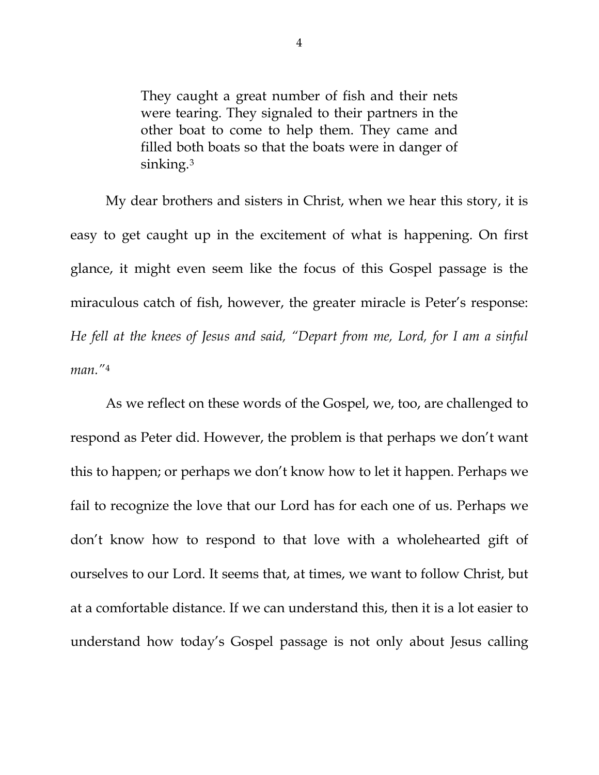They caught a great number of fish and their nets were tearing. They signaled to their partners in the other boat to come to help them. They came and filled both boats so that the boats were in danger of sinking.[3](#page-2-2)

My dear brothers and sisters in Christ, when we hear this story, it is easy to get caught up in the excitement of what is happening. On first glance, it might even seem like the focus of this Gospel passage is the miraculous catch of fish, however, the greater miracle is Peter's response: *He fell at the knees of Jesus and said, "Depart from me, Lord, for I am a sinful man."*[4](#page-2-3)

As we reflect on these words of the Gospel, we, too, are challenged to respond as Peter did. However, the problem is that perhaps we don't want this to happen; or perhaps we don't know how to let it happen. Perhaps we fail to recognize the love that our Lord has for each one of us. Perhaps we don't know how to respond to that love with a wholehearted gift of ourselves to our Lord. It seems that, at times, we want to follow Christ, but at a comfortable distance. If we can understand this, then it is a lot easier to understand how today's Gospel passage is not only about Jesus calling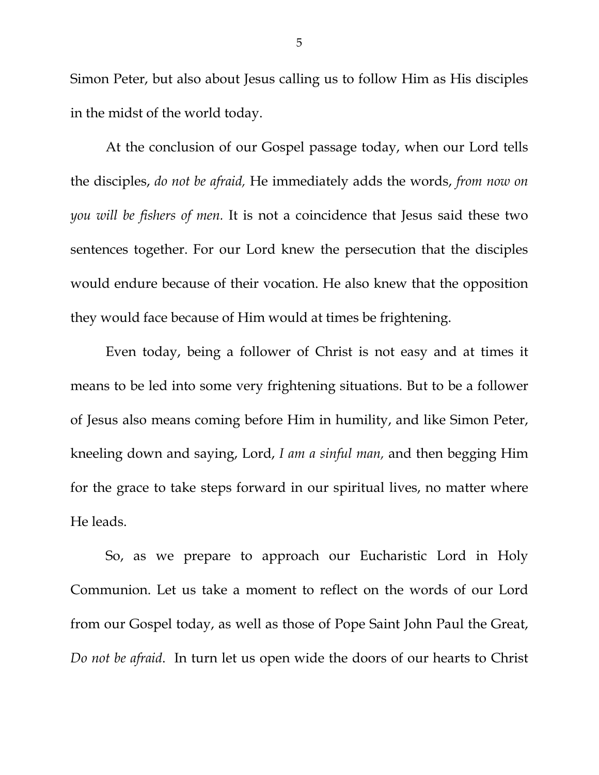Simon Peter, but also about Jesus calling us to follow Him as His disciples in the midst of the world today.

At the conclusion of our Gospel passage today, when our Lord tells the disciples, *do not be afraid,* He immediately adds the words, *from now on you will be fishers of men.* It is not a coincidence that Jesus said these two sentences together. For our Lord knew the persecution that the disciples would endure because of their vocation. He also knew that the opposition they would face because of Him would at times be frightening.

Even today, being a follower of Christ is not easy and at times it means to be led into some very frightening situations. But to be a follower of Jesus also means coming before Him in humility, and like Simon Peter, kneeling down and saying, Lord, *I am a sinful man,* and then begging Him for the grace to take steps forward in our spiritual lives, no matter where He leads.

So, as we prepare to approach our Eucharistic Lord in Holy Communion. Let us take a moment to reflect on the words of our Lord from our Gospel today, as well as those of Pope Saint John Paul the Great, *Do not be afraid*. In turn let us open wide the doors of our hearts to Christ